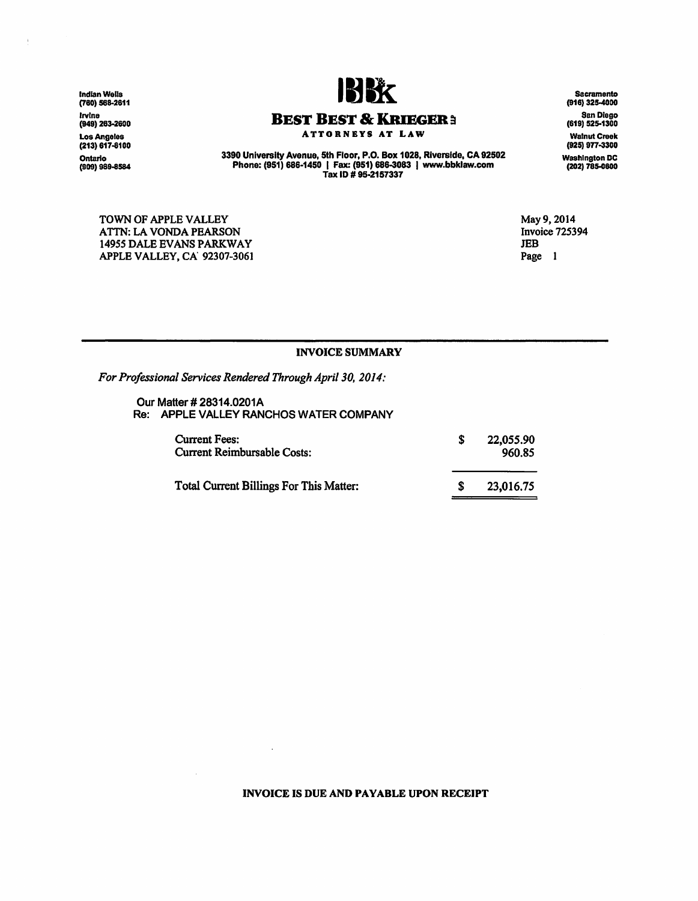lndlanWeUs (780) 568-2611 lrvlne (949) 263-2800 Los Angeles (213) 617-8100 Ontario<br>(909) 989-8584

J.



# **BEST BEST** & KRIEGER a

ATTORNEYS AT LAW

3390 University Avenue, 5th Floor, P.O. Box 1028, Riverside, CA 92502 Phone: (951) 686·1450 I Fax: (951) 686-3083 I www.bbklaw.com Tax ID# 95·2157337

TOWN OF APPLE VALLEY ATTN: LA VONDA PEARSON 14955 DALE EVANS PARKWAY APPLE VALLEY, CA' 92307-3061

May 9, 2014 Invoice 725394 JEB Page 1

## INVOICE SUMMARY

*For Professional Services Rendered Through April 30, 2014:* 

Our Matter# 28314.0201A Re: APPLE VALLEY RANCHOS WATER COMPANY

 $\lambda$ 

 $\mathcal{L}_{\mathcal{A}}$ 

| <b>Current Fees:</b><br><b>Current Reimbursable Costs:</b> | 22,055.90<br>960.85 |
|------------------------------------------------------------|---------------------|
| <b>Total Current Billings For This Matter:</b>             | 23,016.75           |

#### INVOICE IS DUE AND PAYABLE UPON RECEIPT

Sacramento (916) 325-4000 San Diego (619) 525-1300 Walnut Creek (925) 977-3300 Washington DC (202) 785-0800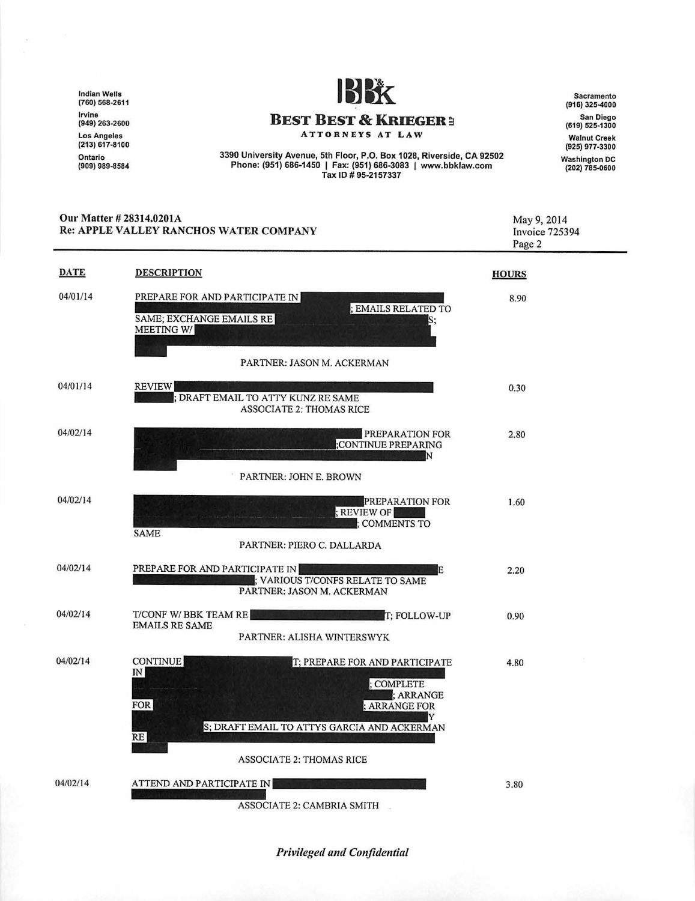Indian Wells (760) 568-2611 Irvine (949) 263-2600 Los Angeles (213) 617-8100 Ontario<br>(909) 989-8584



**BEST BEST & KRIEGER:** 

ATTORN EYS AT LAW

3390 University Avenue, 5th Floor, P.O. Box 1028, Riverside , CA 92502 Phone : (951) 686-1450 I Fax: (951) 686-3083 I www.bbklaw .com Tax ID# 95·2157337

Sacramento (916) 325-4000 San Diego (619) 525-1300 Walnut Creek (925) 977-3300 Washington DC (202) 785-0600

|             | Our Matter # 28314.0201A<br>Re: APPLE VALLEY RANCHOS WATER COMPANY                                                                                                                                                                          | May 9, 2014<br>Invoice 725394<br>Page 2 |
|-------------|---------------------------------------------------------------------------------------------------------------------------------------------------------------------------------------------------------------------------------------------|-----------------------------------------|
| <b>DATE</b> | <b>DESCRIPTION</b>                                                                                                                                                                                                                          | <b>HOURS</b>                            |
| 04/01/14    | PREPARE FOR AND PARTICIPATE IN<br>; EMAILS RELATED TO<br>SAME; EXCHANGE EMAILS RE<br>S,<br>MEETING W/<br>PARTNER: JASON M. ACKERMAN                                                                                                         | 8.90                                    |
| 04/01/14    | <b>REVIEW</b><br>; DRAFT EMAIL TO ATTY KUNZ RE SAME<br><b>ASSOCIATE 2: THOMAS RICE</b>                                                                                                                                                      | 0.30                                    |
| 04/02/14    | PREPARATION FOR<br>;CONTINUE PREPARING<br>N<br>PARTNER: JOHN E. BROWN                                                                                                                                                                       | 2.80                                    |
| 04/02/14    | PREPARATION FOR<br>; REVIEW OF<br><b>COMMENTS TO</b><br><b>SAME</b><br>PARTNER: PIERO C. DALLARDA                                                                                                                                           | 1.60                                    |
| 04/02/14    | PREPARE FOR AND PARTICIPATE IN<br>Е<br>; VARIOUS T/CONFS RELATE TO SAME<br>PARTNER: JASON M. ACKERMAN                                                                                                                                       | 2.20                                    |
| 04/02/14    | T/CONF W/BBK TEAM RE<br>T; FOLLOW-UP<br><b>EMAILS RE SAME</b><br>PARTNER: ALISHA WINTERSWYK                                                                                                                                                 | 0.90                                    |
| 04/02/14    | <b>CONTINUE</b><br>T; PREPARE FOR AND PARTICIPATE<br>$\ensuremath{\mathsf{IN}}$<br>; COMPLETE<br>; ARRANGE<br><b>FOR</b><br><b>ARRANGE FOR</b><br>Y<br>S; DRAFT EMAIL TO ATTYS GARCIA AND ACKERMAN<br>RE<br><b>ASSOCIATE 2: THOMAS RICE</b> | 4.80                                    |
| 04/02/14    | ATTEND AND PARTICIPATE IN<br>ASSOCIATE 2: CAMBRIA SMITH                                                                                                                                                                                     | 3.80                                    |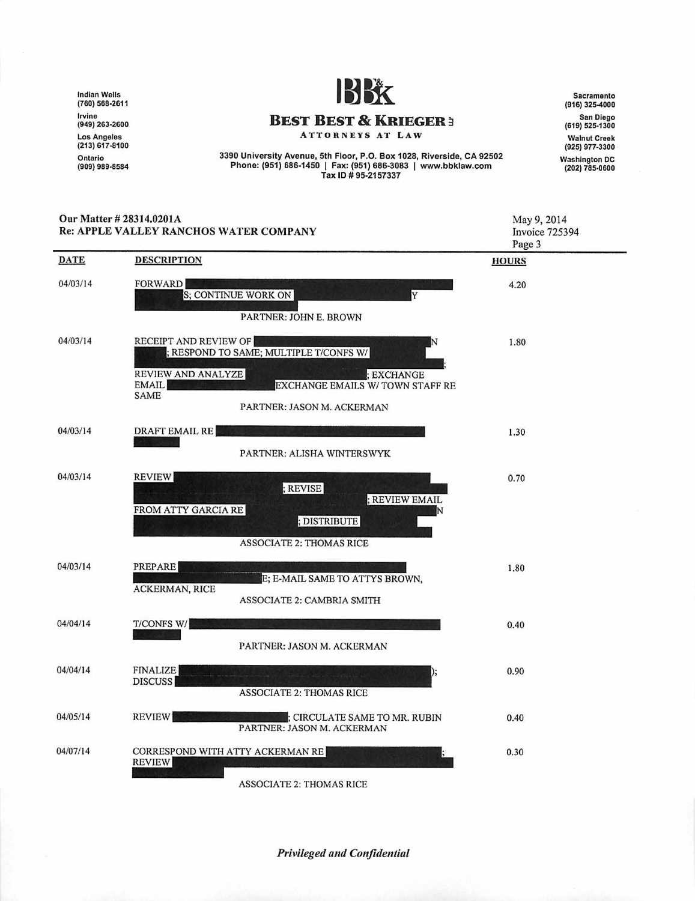Indian Wells (760) 568-2611 Irvine (949) 263-2600 Los Angeles (213) 617-810 0 Ontario (909) 989-8584



Sacramento (916) 325-4000 San Diego (619) 525-1300 Walnut Creek (925) 977-3300 Washington DC<br>(202) 785-0600

**BEST BEST & KRIEGER** :i ATTORNEYS AT LAW

3390 University Avenue, 5th Floor, P.O. Box 1028, Riverside, CA 92502 Phone: (951) 686-1450 | Fax: (951) 686-3083 | www.bbklaw.com Tax ID # 95-2157337

#### Our Matter# 28314.0201A May 9, 2014 Re: APPLE VALLEY RANCHOS WATER COMPANY Invoice 725394 Page 3 **DATE DESCRIPTION HOURS** 04/03/14 **FORWARD** 4.20 **S**; CONTINUE WORK ON PARTNER: JOHN E. BROWN 04/03/14 RECEIPT AND REVIEW OF 1.80 ; RESPOND TO SAME; MULTIPLE T/CONFS W/ ;EXCHANGE REVIEW AND ANALYZE **|**<br>EMAIL **|** EXCHANGE EMAILS W/ TOWN STAFF RE **SAME** PARTNER: JASON M. ACKERMAN 04/03/14 DRAFT EMAIL RE 1.30 PARTNER: ALISHA WINTERSWYK 04/03/14 **REVIEW** 0.70 ; REVISE : REVIEW EMAIL FROM ATTY GARCIA RE ; DISTRIBUTE ASSOCIATE 2: THOMAS RICE 04/03/14 PREPARE 1.80 E; E-MAIL SAME TO ATTYS BROWN, ACKERMAN, RICE ASSOCIATE 2: CAMBRIA SMITH 04/04/14 T/CONFS WI 0.40 PARTNER: JASON M. ACKERMAN 04/04/14 FINALIZE 0.90 DISCUSS ASSOCIATE 2: THOMAS RICE 04/05/14 REVIEW ; CIRCULATE SAME TO MR. RUBIN 0.40 PARTNER: JASON M. ACKERMAN 04/07/14 CORRESPOND WITH ATTY ACKERMAN RE 0.30 REVIEW

**ASSOCIATE 2: THOMAS RICE**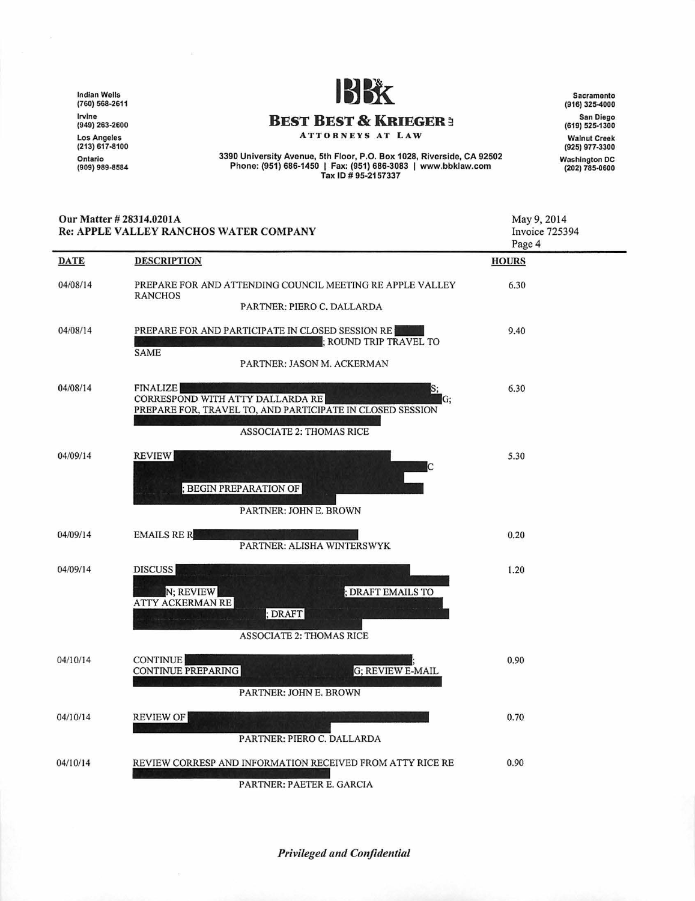Indian Wells (760) 568-2611 Irvine (949) 263-2600 Los Angeles (213) 617-8100 Ontario<br>(909) 989-8584



Sacramonto (916) 325-4000 San Diego (619) 525-1300 Walnut Creek (925) 977-3300 Washington DC (202) 785-0600

May 9, 2014 Invoice 725394

ATTORNEYS AT LAW

3390 University Avenue, 5th Floor, P.O. Box 1028, Riverside, CA 92502 Phone: (951) 686-1450 I Fax: (951) 686-3083 I www.bbklaw .com Tax ID# 95-2157337

## Our Matter# 28314.020IA Re: APPLE VALLEY RANCHOS WATER COMPANY

|             |                                                                                                                              | Page 4       |
|-------------|------------------------------------------------------------------------------------------------------------------------------|--------------|
| <b>DATE</b> | <b>DESCRIPTION</b>                                                                                                           | <b>HOURS</b> |
| 04/08/14    | PREPARE FOR AND ATTENDING COUNCIL MEETING RE APPLE VALLEY<br><b>RANCHOS</b>                                                  | 6.30         |
|             | PARTNER: PIERO C. DALLARDA                                                                                                   |              |
| 04/08/14    | PREPARE FOR AND PARTICIPATE IN CLOSED SESSION RE<br>; ROUND TRIP TRAVEL TO<br><b>SAME</b>                                    | 9.40         |
|             | PARTNER: JASON M. ACKERMAN                                                                                                   |              |
| 04/08/14    | <b>FINALIZE</b><br>S,<br>CORRESPOND WITH ATTY DALLARDA RE<br>G:<br>PREPARE FOR, TRAVEL TO, AND PARTICIPATE IN CLOSED SESSION | 6.30         |
|             | <b>ASSOCIATE 2: THOMAS RICE</b>                                                                                              |              |
| 04/09/14    | <b>REVIEW</b>                                                                                                                | 5.30         |
|             | ; BEGIN PREPARATION OF                                                                                                       |              |
|             | PARTNER: JOHN E. BROWN                                                                                                       |              |
| 04/09/14    | <b>EMAILS RE R</b><br>PARTNER: ALISHA WINTERSWYK                                                                             | 0.20         |
| 04/09/14    | DISCUSS                                                                                                                      | 1.20         |
|             | N; REVIEW<br>; DRAFT EMAILS TO<br><b>ATTY ACKERMAN RE</b>                                                                    |              |
|             | ; DRAFT<br><b>ASSOCIATE 2: THOMAS RICE</b>                                                                                   |              |
| 04/10/14    | <b>CONTINUE</b>                                                                                                              | 0.90         |
|             | CONTINUE PREPARING<br>G; REVIEW E-MAIL                                                                                       |              |
|             | PARTNER: JOHN E. BROWN                                                                                                       |              |
| 04/10/14    | <b>REVIEW OF</b><br>PARTNER: PIERO C. DALLARDA                                                                               | 0.70         |
| 04/10/14    | REVIEW CORRESP AND INFORMATION RECEIVED FROM ATTY RICE RE                                                                    | 0.90         |
|             | PARTNER: PAETER E. GARCIA                                                                                                    |              |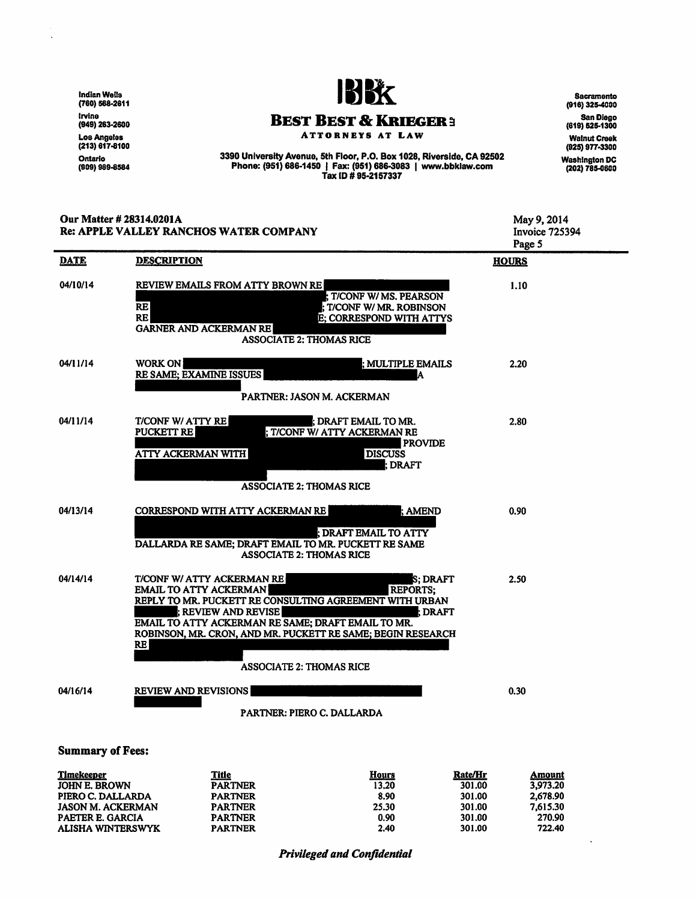Indian Wells (760) 588-2811 Irvine (949) 283-2600 Los Angeles<br>(213) 617-81<mark>0</mark>4 Ontario<br>(909) 989-8584



Sacramento  $(916)$  325-4000

ATTORNEYS AT LAW

3390 University Avenue, 5th Floor, P.O. Box 1028, Riverside, CA 92502 Phone: (951) 686-1450 I Fax: (951) 686-3083 I www.bbklaw.com Tax ID# 95·2157337

San Diego (619) 52&.1300 Walnut Creek (925) 977-3300

Washington DC (202) 785-0600

 $\ddot{\phantom{0}}$ 

| Our Matter # 28314.0201A<br>Re: APPLE VALLEY RANCHOS WATER COMPANY |                                                                                                                                                                                                                                                                                                                                                              | May 9, 2014<br><b>Invoice 725394</b><br>Page 5 |  |  |
|--------------------------------------------------------------------|--------------------------------------------------------------------------------------------------------------------------------------------------------------------------------------------------------------------------------------------------------------------------------------------------------------------------------------------------------------|------------------------------------------------|--|--|
| <b>DATE</b>                                                        | <b>DESCRIPTION</b>                                                                                                                                                                                                                                                                                                                                           | <b>HOURS</b>                                   |  |  |
| 04/10/14                                                           | REVIEW EMAILS FROM ATTY BROWN RE<br>; T/CONF W/ MS. PEARSON<br><b>RE</b><br>T/CONF W/ MR. ROBINSON<br><b>RE</b><br>E; CORRESPOND WITH ATTYS<br><b>GARNER AND ACKERMAN RE</b><br><b>ASSOCIATE 2: THOMAS RICE</b>                                                                                                                                              | 1.10                                           |  |  |
| 04/11/14                                                           | <b>WORK ON</b><br>; MULTIPLE EMAILS<br>RE SAME; EXAMINE ISSUES<br>IA.<br>PARTNER: JASON M. ACKERMAN                                                                                                                                                                                                                                                          | 2.20                                           |  |  |
| 04/11/14                                                           | T/CONF W/ ATTY RE<br>¦; DRAFT EMAIL TO MR.<br>PUCKETT RE<br>; T/CONF W/ ATTY ACKERMAN RE<br><b>PROVIDE</b><br><b>DISCUSS</b><br><b>ATTY ACKERMAN WITH</b><br>; DRAFT<br><b>ASSOCIATE 2: THOMAS RICE</b>                                                                                                                                                      | 2.80                                           |  |  |
| 04/13/14                                                           | <b>CORRESPOND WITH ATTY ACKERMAN RE</b><br>: AMEND<br>l DRAFT EMAIL TO ATTY<br>DALLARDA RE SAME; DRAFT EMAIL TO MR. PUCKETT RE SAME<br><b>ASSOCIATE 2: THOMAS RICE</b>                                                                                                                                                                                       | 0.90                                           |  |  |
| 04/14/14                                                           | T/CONF W/ ATTY ACKERMAN RE<br>S: DRAFT<br><b>REPORTS:</b><br><b>EMAIL TO ATTY ACKERMAN</b><br>REPLY TO MR. PUCKETT RE CONSULTING AGREEMENT WITH URBAN<br>; REVIEW AND REVISE<br>l DRAFT<br>EMAIL TO ATTY ACKERMAN RE SAME; DRAFT EMAIL TO MR.<br>ROBINSON, MR. CRON, AND MR. PUCKETT RE SAME; BEGIN RESEARCH<br><b>RE</b><br><b>ASSOCIATE 2: THOMAS RICE</b> | 2.50                                           |  |  |
| 04/16/14                                                           | <b>REVIEW AND REVISIONS</b><br>PARTNER: PIERO C. DALLARDA                                                                                                                                                                                                                                                                                                    | 0.30                                           |  |  |
| <b>Summary of Fees:</b>                                            |                                                                                                                                                                                                                                                                                                                                                              |                                                |  |  |

#### **Timekeeper** JOHN E. BROWN PIERO C. DALLARDA JASON M. ACKERMAN PAETER E. GARCIA ALISHA WINTERSWYK **Title PARTNER Hours** 13.20 8.90 25.30 0.90 2.40 Rate/Hr 301.00 PARTNER PARTNER PARTNER PARTNER 301.00 301.00 301.00 301.00 Amount 3,973.20 2,678.90 7,615.30 270.90 722.40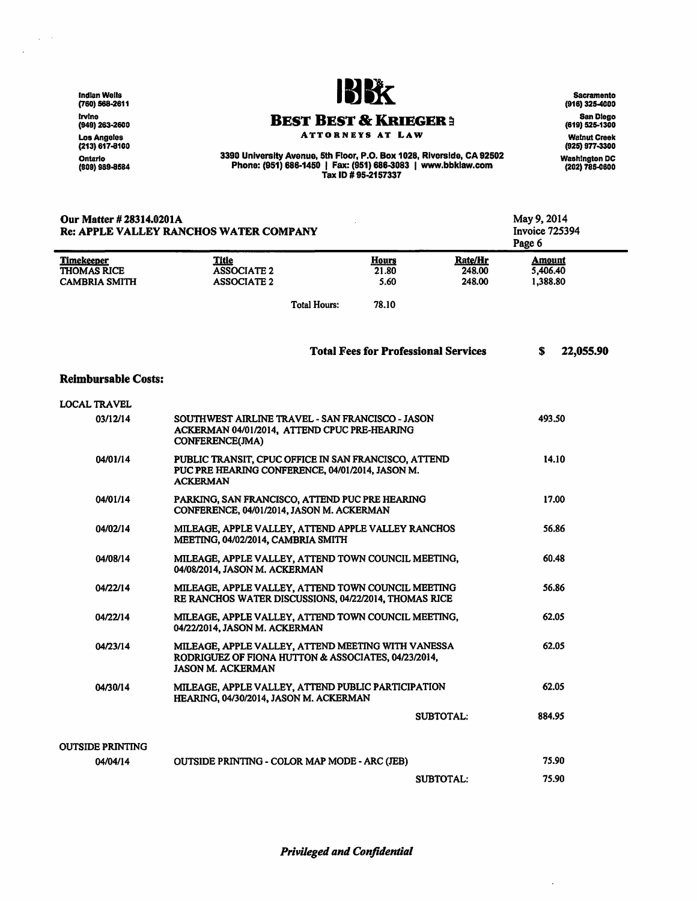lndlan Wells (760) 588-2611 lrvlne (949) 263-2600 Los Angeles (213) 617-8100 Ontario<br>(909) 989-8584

 $\sim$   $\sim$  $\mathcal{L}$ 

Our Matter # 28314.0201A

Re: APPLE VALLEY RANCHOS WATER COMPANY



**Sacramento** (916) 325-4000 San Diego (619) 525-1300 Walnut Creek (925) 977-3300

ATTORNEYS AT LAW 3390 University Avenue, 5th Floor, P.O. Box 1028, Riverside, CA 92502 Phone: (951) 686·1450 I Fax: (951) 686-3083 I www.bbklaw.com

Tax ID # 95·2157337

Washington DC (202) 785.0800 May 9, 2014 Invoice 725394 Page 6

**Timekeeper THOMAS RICE CAMBRIA SMITH** Reimbursable Costs: LOCAL TRAVEL 03/12/14 04/01/14 04/01/14 04/02/]4 04/08/14 04/22/]4 04/22/14 04/23/14 04/30/14 **Title** ASSOCIATE2 ASSOCIATE2 Hours 21.80 5.60 Total Hours: 78.10 **Rate/Hr** 248.00 248.00 Total Fees for Professional Services SOUTHWEST AIRLINE TRAVEL - SAN FRANCISCO - JASON ACKERMAN 04/01/2014, ATIEND CPUC PRE-HEARING CONFERENCE(JMA) PUBLIC TRANSIT, CPUC OFFICE IN SAN FRANCISCO, ATTEND PUC PRE HEARING CONFERENCE, 04/01/2014, JASON M. ACKERMAN PARKING, SAN FRANCISCO, ATIEND PUC PRE HEARING CONFERENCE, 04/01/2014, JASON M. ACKERMAN MILEAGE, APPLE VALLEY, ATIEND APPLE VALLEY RANCHOS MEETING, 04/02/2014, CAMBRIA SMITH MILEAGE, APPLE VALLEY, ATTEND TOWN COUNCIL MEETING, 04/08/2014, JASON M. ACKERMAN MILEAGE, APPLE VALLEY, ATTEND TOWN COUNCIL MEETING RE RANCHOS WATER DISCUSSIONS, 04/22/2014, THOMAS RICE MILEAGE, APPLE VALLEY, ATTEND TOWN COUNCIL MEETING, 04/22/2014, JASON M. ACKERMAN MILEAGE, APPLE VALLEY, ATTEND MEETING WITH VANESSA RODRIGUEZ OF FIONA HUTTON & ASSOCIATES, 04/23/2014, JASON M. ACKERMAN MILEAGE, APPLE VALLEY, ATTEND PUBLIC PARTICIPATION HEARING, 04/30/2014, JASON M. ACKERMAN **Amount** 5,406.40 1,388.80 S 22,055.90 493.50 14.10 17.00 56.86 60.48 56.86 62.05 62.05 62.05

OUTSIDE PRINTING 04/04/14 SUBTOTAL: OUTSIDE PRINTING - COLOR MAP MODE - ARC (JEB) SUBTOTAL: 884.95 75.90 75.90